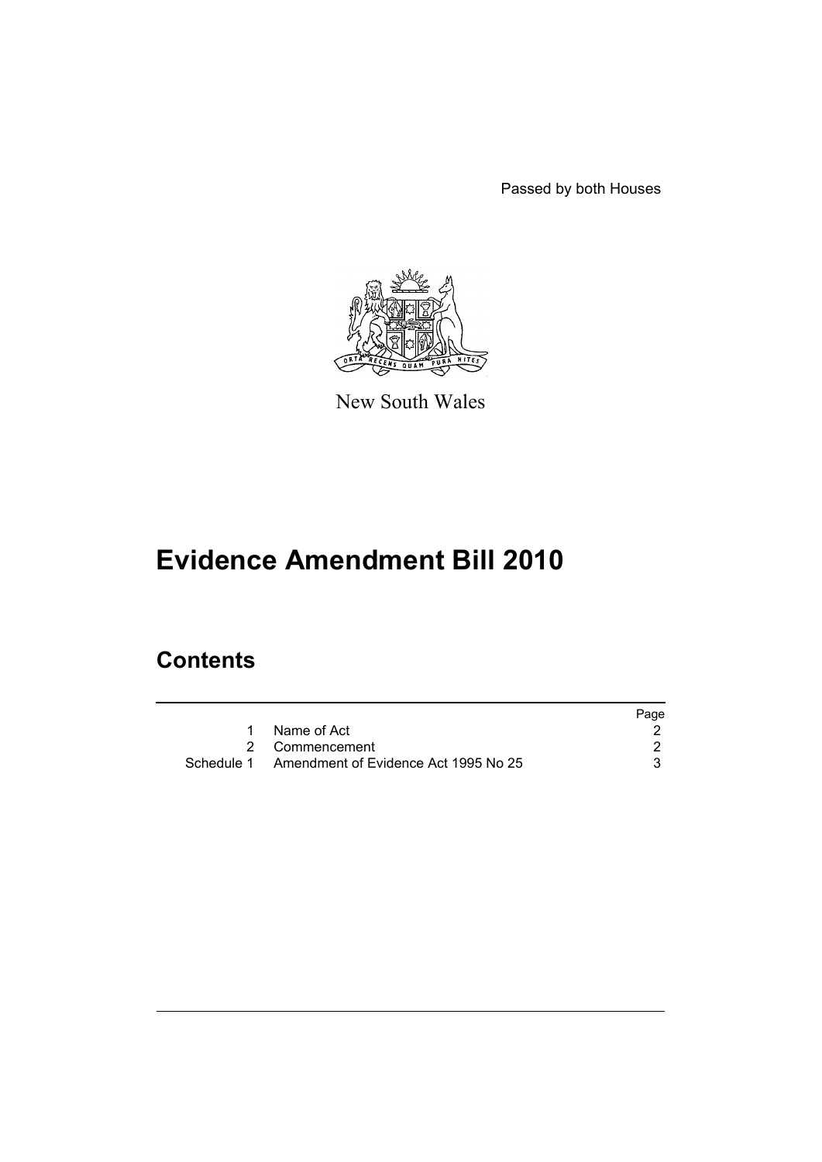Passed by both Houses



New South Wales

# **Evidence Amendment Bill 2010**

## **Contents**

|                                                 | Page |
|-------------------------------------------------|------|
| Name of Act                                     |      |
| 2 Commencement                                  |      |
| Schedule 1 Amendment of Evidence Act 1995 No 25 |      |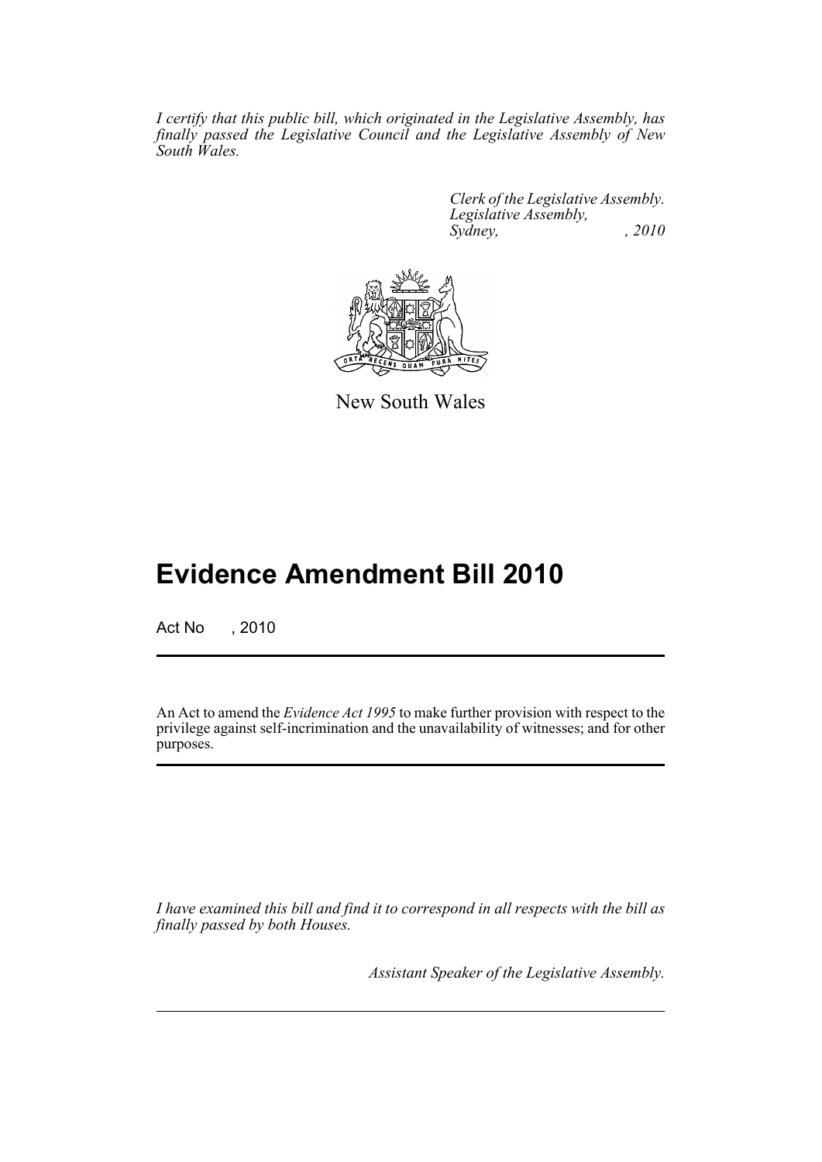*I certify that this public bill, which originated in the Legislative Assembly, has finally passed the Legislative Council and the Legislative Assembly of New South Wales.*

> *Clerk of the Legislative Assembly. Legislative Assembly, Sydney,* , 2010



New South Wales

## **Evidence Amendment Bill 2010**

Act No , 2010

An Act to amend the *Evidence Act 1995* to make further provision with respect to the privilege against self-incrimination and the unavailability of witnesses; and for other purposes.

*I have examined this bill and find it to correspond in all respects with the bill as finally passed by both Houses.*

*Assistant Speaker of the Legislative Assembly.*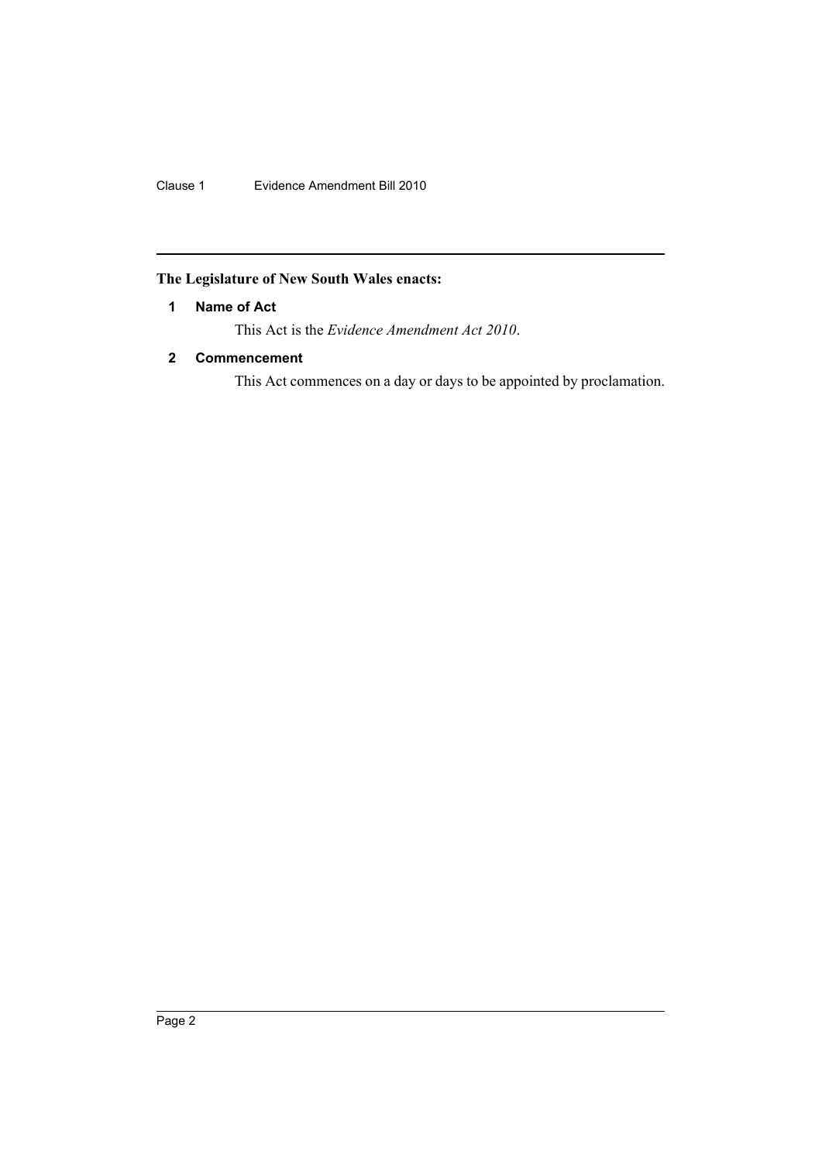Clause 1 Evidence Amendment Bill 2010

## <span id="page-2-0"></span>**The Legislature of New South Wales enacts:**

### **1 Name of Act**

This Act is the *Evidence Amendment Act 2010*.

### <span id="page-2-1"></span>**2 Commencement**

This Act commences on a day or days to be appointed by proclamation.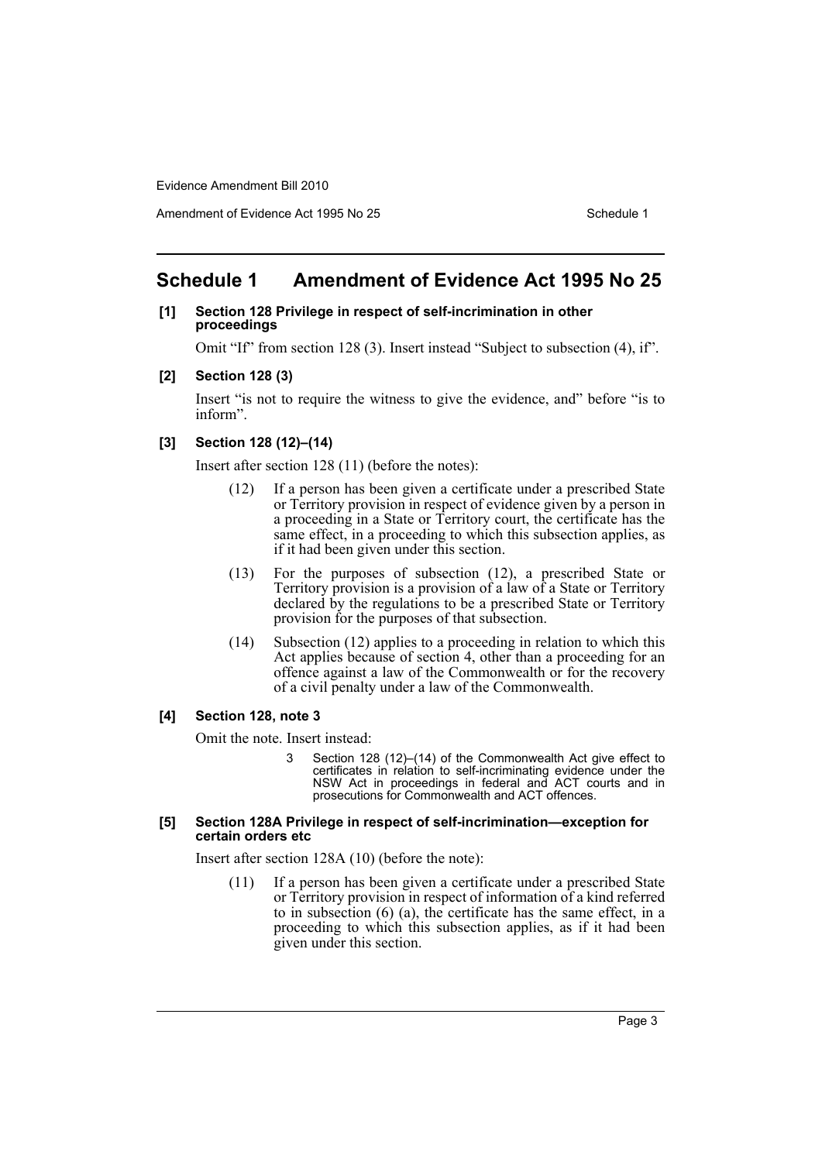Evidence Amendment Bill 2010

## <span id="page-3-0"></span>**Schedule 1 Amendment of Evidence Act 1995 No 25**

#### **[1] Section 128 Privilege in respect of self-incrimination in other proceedings**

Omit "If" from section 128 (3). Insert instead "Subject to subsection (4), if".

#### **[2] Section 128 (3)**

Insert "is not to require the witness to give the evidence, and" before "is to inform".

#### **[3] Section 128 (12)–(14)**

Insert after section 128 (11) (before the notes):

- (12) If a person has been given a certificate under a prescribed State or Territory provision in respect of evidence given by a person in a proceeding in a State or Territory court, the certificate has the same effect, in a proceeding to which this subsection applies, as if it had been given under this section.
- (13) For the purposes of subsection (12), a prescribed State or Territory provision is a provision of a law of a State or Territory declared by the regulations to be a prescribed State or Territory provision for the purposes of that subsection.
- (14) Subsection (12) applies to a proceeding in relation to which this Act applies because of section 4, other than a proceeding for an offence against a law of the Commonwealth or for the recovery of a civil penalty under a law of the Commonwealth.

#### **[4] Section 128, note 3**

Omit the note. Insert instead:

3 Section 128 (12)–(14) of the Commonwealth Act give effect to certificates in relation to self-incriminating evidence under the NSW Act in proceedings in federal and ACT courts and in prosecutions for Commonwealth and ACT offences.

#### **[5] Section 128A Privilege in respect of self-incrimination—exception for certain orders etc**

Insert after section 128A (10) (before the note):

(11) If a person has been given a certificate under a prescribed State or Territory provision in respect of information of a kind referred to in subsection (6) (a), the certificate has the same effect, in a proceeding to which this subsection applies, as if it had been given under this section.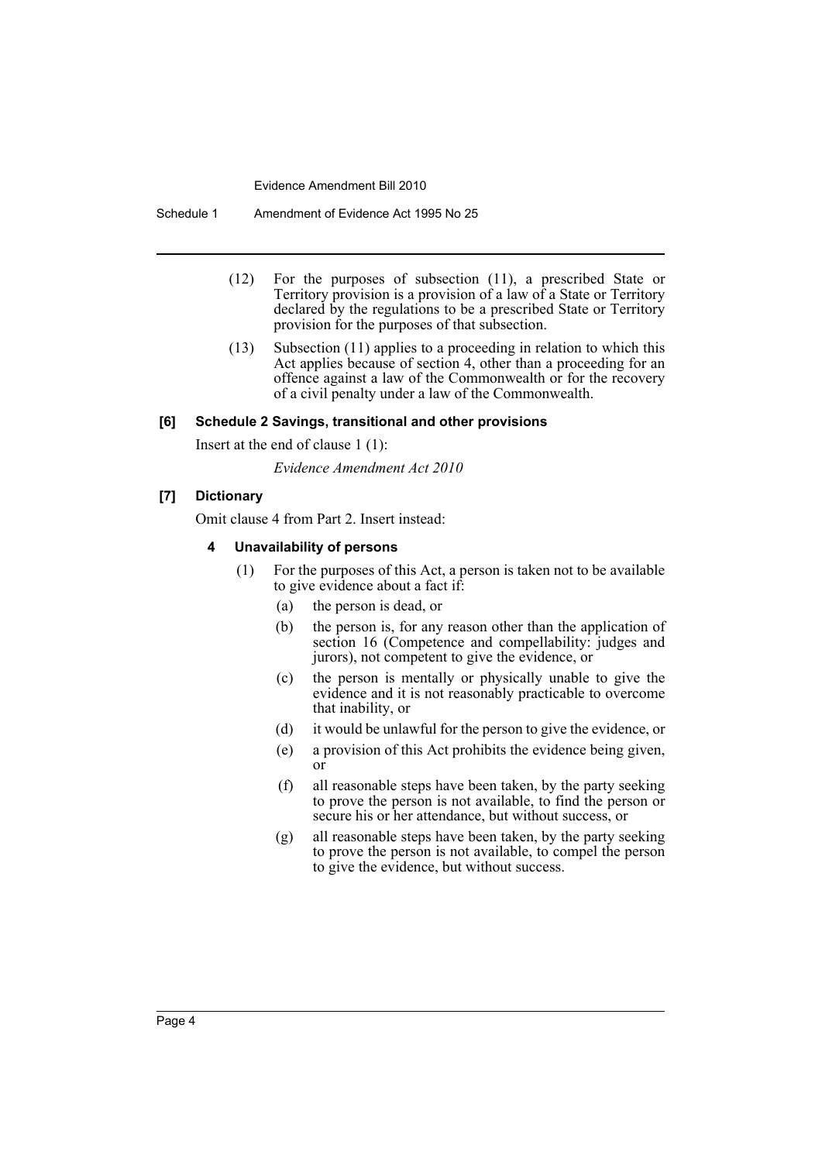Evidence Amendment Bill 2010

Schedule 1 Amendment of Evidence Act 1995 No 25

- (12) For the purposes of subsection (11), a prescribed State or Territory provision is a provision of a law of a State or Territory declared by the regulations to be a prescribed State or Territory provision for the purposes of that subsection.
- (13) Subsection (11) applies to a proceeding in relation to which this Act applies because of section 4, other than a proceeding for an offence against a law of the Commonwealth or for the recovery of a civil penalty under a law of the Commonwealth.

#### **[6] Schedule 2 Savings, transitional and other provisions**

Insert at the end of clause 1 (1):

*Evidence Amendment Act 2010*

#### **[7] Dictionary**

Omit clause 4 from Part 2. Insert instead:

#### **4 Unavailability of persons**

- (1) For the purposes of this Act, a person is taken not to be available to give evidence about a fact if:
	- (a) the person is dead, or
	- (b) the person is, for any reason other than the application of section 16 (Competence and compellability: judges and jurors), not competent to give the evidence, or
	- (c) the person is mentally or physically unable to give the evidence and it is not reasonably practicable to overcome that inability, or
	- (d) it would be unlawful for the person to give the evidence, or
	- (e) a provision of this Act prohibits the evidence being given, or
	- (f) all reasonable steps have been taken, by the party seeking to prove the person is not available, to find the person or secure his or her attendance, but without success, or
	- (g) all reasonable steps have been taken, by the party seeking to prove the person is not available, to compel the person to give the evidence, but without success.